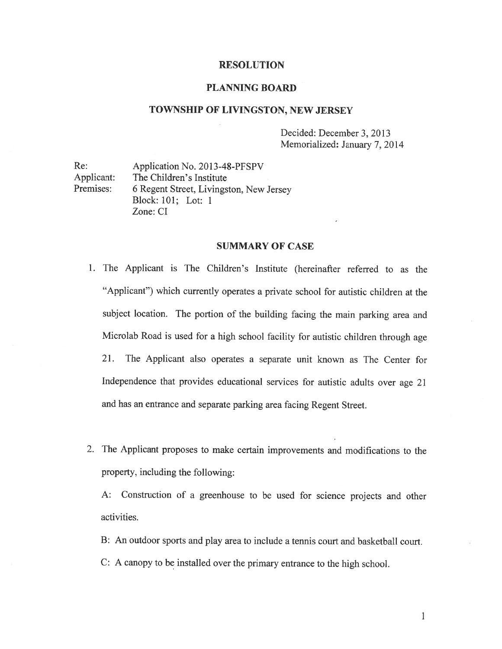### RESOLUTION

## PLANNING BOARD

#### TOWNSHIP OF LIVINGSTON, NEW JERSEY

Decided: December 3, 2013 Memorialized: January 7, 2014

Re: Application No. 2013-48-PFSPV Applicant: The Children's Institute Premises: <sup>6</sup> Regent Street, Livingston, New Jersey Block: 101; Lot: 1 Zone: CT

#### SUMMARY OF CASE

- 1. The Applicant is The Children's Institute (hereinafter referred to as the "Applicant") which currently operates <sup>a</sup> private school for autistic children at the subject location. The portion of the building facing the main parking area and Microlab Road is used for <sup>a</sup> high school facility for autistic children through age 21. The Applicant also operates <sup>a</sup> separate unit known as The Center for Independence that provides educational services for autistic adults over age <sup>21</sup> and has an entrance and separate parking area facing Regent Street.
- 2. The Applicant proposes to make certain improvements and modifications to the property, including the following:

A: Construction of <sup>a</sup> greenhouse to be used for science projects and other activities.

- B: An outdoor sports and play area to include <sup>a</sup> tennis court and basketball court.
- C: <sup>A</sup> canopy to be installed over the primary entrance to the high school.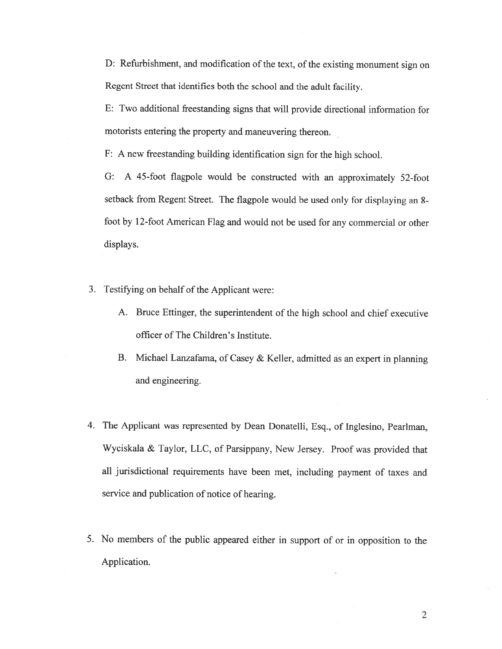D: Refurbishment, and modification of the text, of the existing monument sign on Regent Street that identifies both the school and the adult facility.

F: Two additional freestanding signs that will provide directional information for motorists entering the property and maneuvering thereon.

F: <sup>A</sup> new freestanding building identification sign for the high school.

G: <sup>A</sup> 45-foot flagpole would be constructed with an approximately 52-foot setback from Regent Street. The flagpole would be used only for displaying an 8 foot by 12-foot American Flag and would not be used for any commercial or other displays.

- 3. Testifying on behalf of the Applicant were:
	- A. Bruce Ettinger, the superintendent of the high school and chief executive officer of The Children's Institute.
	- B. Michael Lanzafama, of Casey & Keller, admitted as an exper<sup>t</sup> in <sup>p</sup>lanning and engineering.
- 4. The Applicant was represented by Dean Donatelli, Esq., of Inglesino, Peariman, Wyciskala & Taylor, LLC, of Parsippany, New Jersey. Proof was provided that all jurisdictional requirements have been met, including paymen<sup>t</sup> of taxes and service and publication of notice of hearing.
- 5. No members of the public appeare<sup>d</sup> either in suppor<sup>t</sup> of or in opposition to the Application.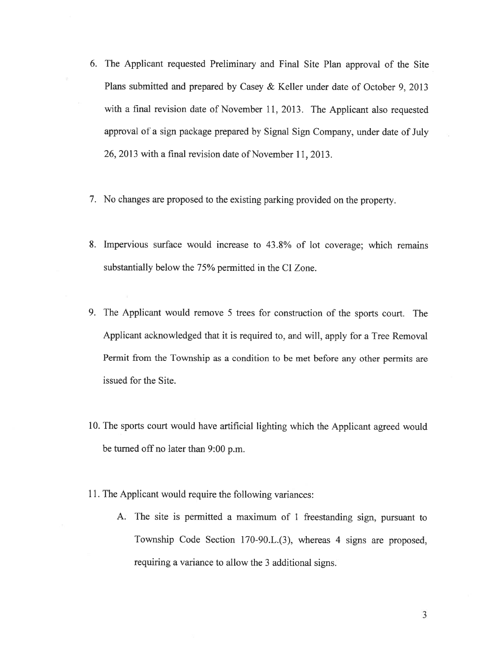- 6. The Applicant requested Preliminary and Final Site Plan approval of the Site Plans submitted and prepared by Casey & Keller under date of October 9, 2013 with <sup>a</sup> final revision date of November 11, 2013. The Applicant also requested approva<sup>l</sup> of <sup>a</sup> sign package prepare<sup>d</sup> by Signal Sign Company, under date of July 26, 2013 with <sup>a</sup> final revision date of November 11. 2013.
- 7. No changes are propose<sup>d</sup> to the existing parking provided on the property.
- 8. Impervious surface would increase to 43.8% of lot coverage; which remains substantially below the 75% permitted in the CI Zone.
- 9. The Applicant would remove <sup>5</sup> trees for construction of the sports court. The Applicant acknowledged that it is required to, and will, apply for <sup>a</sup> Tree Removal Permit from the Township as <sup>a</sup> condition to be met before any other permits are issued for the Site.
- 10. The sports court would have artificial lighting which the Applicant agreed would be turned off no later than 9:00 p.m.
- 11. The Applicant would require the following variances:
	- A. The site is permitted <sup>a</sup> maximum of <sup>1</sup> freestanding sign, pursuan<sup>t</sup> to Township Code Section 170-90.L.(3), whereas <sup>4</sup> signs are proposed, requiring <sup>a</sup> variance to allow the 3 additional signs.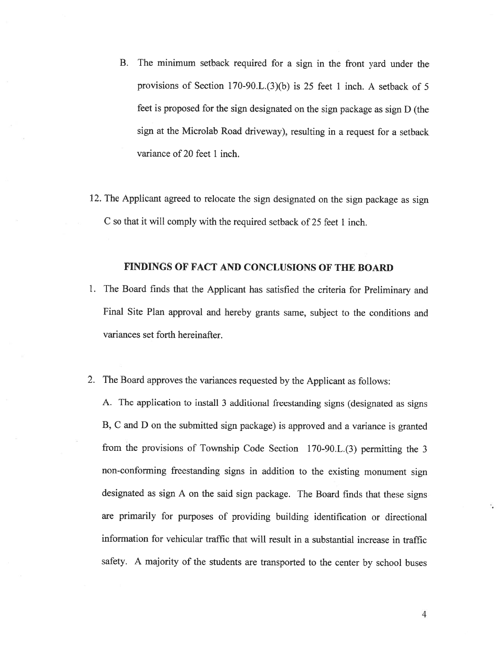- B. The minimum setback required for <sup>a</sup> sign in the front yard under the provisions of Section 170-90.L.(3)(b) is 25 feet 1 inch. A setback of 5 feet is proposed for the sign designated on the sign package as sign <sup>D</sup> (the sign at the Microlab Road driveway), resulting in <sup>a</sup> request for <sup>a</sup> setback variance of 20 feet 1 inch.
- 12. The Applicant agreed to relocate the sign designated on the sign package as sign C so that it will comply with the required setback of 25 feet 1 inch.

### FINDINGS OF FACT AND CONCLUSIONS OF THE BOARD

- 1. The Board finds that the Applicant has satisfied the criteria for Preliminary and Final Site Plan approval and hereby grants same, subject to the conditions and variances set forth hereinafter.
- 2. The Board approves the variances requested by the Applicant as follows:

A. The application to install <sup>3</sup> additional freestanding signs (designated as signs B, <sup>C</sup> and <sup>D</sup> on the submitted sign package) is approved and <sup>a</sup> variance is granted from the provisions of Township Code Section 170-90.L.(3) permitting the 3 non-conforming freestanding signs in addition to the existing monument sign designated as sign <sup>A</sup> on the said sign package. The Board finds that these signs are primarily for purposes of providing building identification or directional information for vehicular traffic that will result in <sup>a</sup> substantial increase in traffic safety. <sup>A</sup> majority of the students are transported to the center by school buses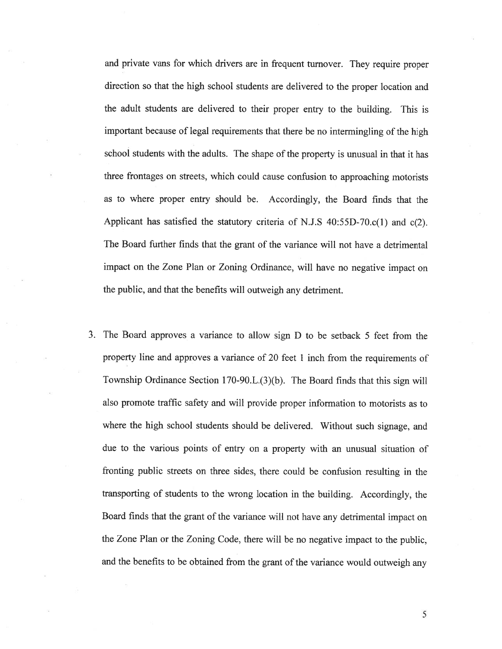and private vans for which drivers are in frequent turnover. They require proper direction so that the high school students are delivered to the proper location and the adult students are delivered to their proper entry to the building. This is important because of legal requirements that there be no intermingling of the high school students with the adults. The shape of the property is unusual in that it has three frontages on streets, which could cause confusion to approaching motorists as to where proper entry should be. Accordingly, the Board finds that the Applicant has satisfied the statutory criteria of N.J.S  $40:55D-70.c(1)$  and  $c(2)$ . The Board further finds that the gran<sup>t</sup> of the variance will not have <sup>a</sup> detrimental impact on the Zone Plan or Zoning Ordinance, will have no negative impact on the public, and that the benefits will outweigh any detriment.

3. The Board approves <sup>a</sup> variance to allow sign <sup>D</sup> to be setback <sup>5</sup> feet from the property line and approves <sup>a</sup> variance of 20 feet <sup>1</sup> inch from the requirements of Township Ordinance Section 170-90.L.(3)(b). The Board finds that this sign will also promote traffic safety and will provide proper information to motorists as to where the high school students should be delivered. Without such signage, and due to the various points of entry on <sup>a</sup> property with an unusual situation of fronting public streets on three sides, there could be confusion resulting in the transporting of students to the wrong location in the building. Accordingly, the Board finds that the gran<sup>t</sup> of the variance will not have any detrimental impact on the Zone Plan or the Zoning Code, there will be no negative impact to the public, and the benefits to be obtained from the gran<sup>t</sup> of the variance would outweigh any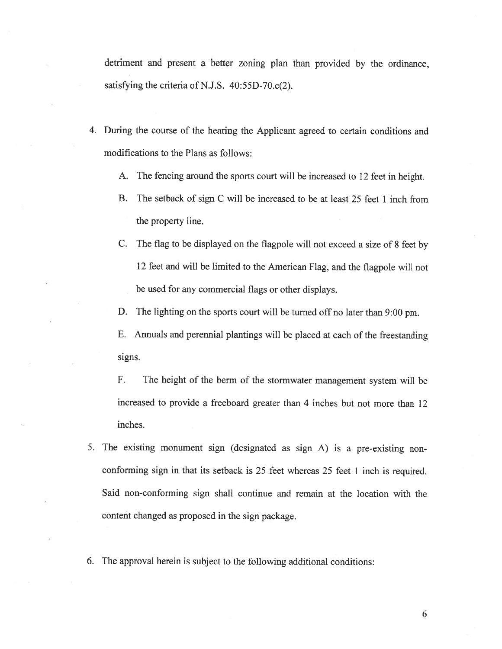detriment and presen<sup>t</sup> <sup>a</sup> better zoning <sup>p</sup>lan than provided by the ordinance, satisfying the criteria of N.J.S.  $40:55D-70.c(2)$ .

- 4. During the course of the hearing the Applicant agreed to certain conditions and modifications to the Plans as follows:
	- A. The fencing around the sports court will be increased to <sup>12</sup> feet in height.
	- B. The setback of sign C will be increased to be at least 25 feet 1 inch from the property line.
	- C. The flag to be displayed on the flagpole will not exceed <sup>a</sup> size of <sup>8</sup> feet by <sup>12</sup> feet and will be limited to the American Flag, and the flagpole will not be used for any commercial flags or other displays.
	- D. The lighting on the sports court will be turned off no later than 9:00 pm.

E. Annuals and perennial <sup>p</sup>lantings will be <sup>p</sup>laced at each of the freestanding signs.

F. The height of the berm of the stormwater managemen<sup>t</sup> system will be increased to provide <sup>a</sup> freeboard greater than 4 inches but not more than 12 inches.

- 5. The existing monument sign (designated as sign A) is <sup>a</sup> pre-existing non conforming sign in that its setback is <sup>25</sup> feet whereas <sup>25</sup> feet <sup>1</sup> inch is required. Said non-conforming sign shall continue and remain at the location with the content changed as proposed in the sign package.
- 6. The approva<sup>l</sup> herein is subject to the following additional conditions: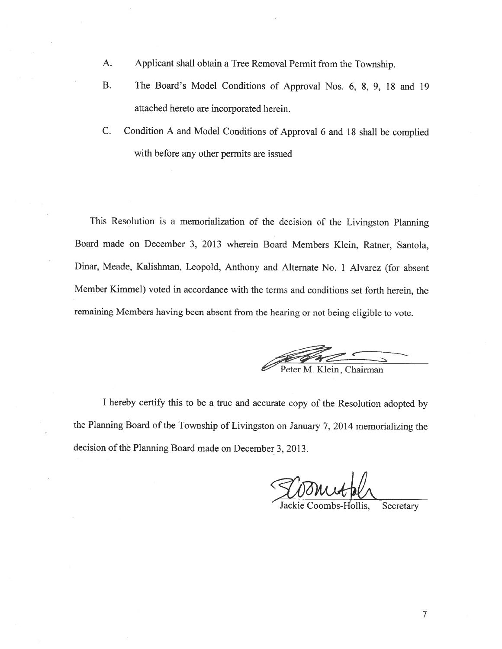- A. Applicant shall obtain <sup>a</sup> Tree Removal Permit from the Township.
- B. The Board's Model Conditions of Approval Nos. 6, 8, 9, 18 and 19 attached hereto are incorporated herein.
- C. Condition <sup>A</sup> and Model Conditions of Approval <sup>6</sup> and <sup>18</sup> shall be complied with before any other permits are issued

This Resolution is <sup>a</sup> memorialization of the decision of the Livingston Planning Board made on December 3. 2013 wherein Board Members Klein, Ratner, Santola. Dinar, Meade, Kalishman, Leopold, Anthony and Alternate No. <sup>1</sup> Alvarez (for absent Member Kimmel) voted in accordance with the terms and conditions set forth herein, the remaining Members having been absent from the hearing or not being eligible to vote.

Peter M. Klein, Chairman

<sup>I</sup> hereby certify this to be <sup>a</sup> true and accurate copy of the Resolution adopted by the Planning Board of the Township of Livingston on January 7, <sup>2014</sup> memorializing the decision of the Planning Board made on December 3, 2013.

Secretary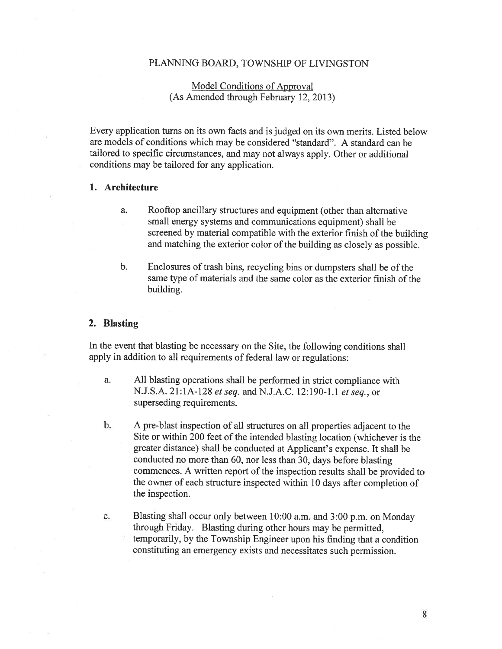### PLANNING BOARD, TOWNSHIP OF LIVINGSTON

# Model Conditions of Approval (As Amended through February 12, 2013)

Every application turns on its own facts and is judged on its own merits. Listed below are models of conditions which may be considered 'standard". A standard can be tailored to specific circumstances, and may not always apply. Other or additional conditions may be tailored for any application.

## 1. Architecture

- a. Rooftop ancillary structures and equipment (other than alternative small energy systems and communications equipment) shall be screened by material compatible with the exterior finish of the building and matching the exterior color of the building as closely as possible.
- b. Enclosures of trash bins, recycling bins or dumpsters shall be of the same type of materials and the same color as the exterior finish of the building.

#### 2. Blasting

In the event that blasting be necessary on the Site, the following conditions shall apply in addition to all requirements of federal law or regulations:

- a. All blasting operations shall be performed in strict compliance with N.J.S.A. 21:1A-128 et seq. and N.J.A.C. 12:190-1.1 et seq.. or superseding requirements.
- b. <sup>A</sup> pre-blast inspection of all structures on all properties adjacent to the Site or within 200 feet of the intended blasting location (whichever is the greater distance) shall be conducted at Applicant's expense. It shall be conducted no more than 60, nor less than 30, days before blasting commences. <sup>A</sup> written repor<sup>t</sup> of the inspection results shall be provided to the owner of each structure inspected within <sup>10</sup> days after completion of the inspection.
- c. Blasting shall occur only between 10:00 a.m. and 3:00 p.m. on Monday through Friday. Blasting during other hours may be permitted, temporarily, by the Township Engineer upon his finding that <sup>a</sup> condition constituting an emergency exists and necessitates such permission.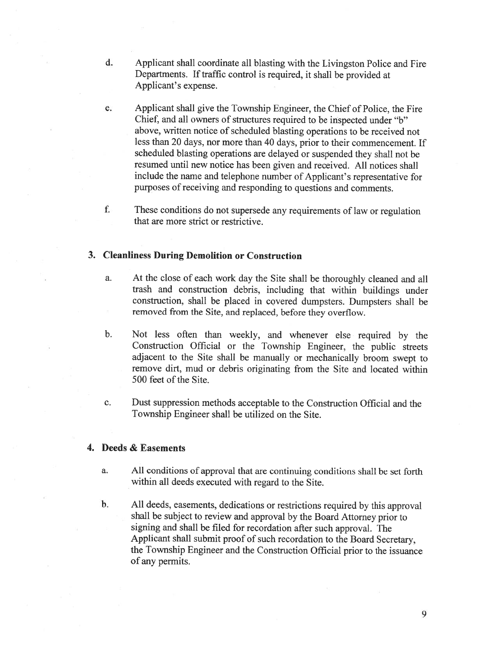- d. Applicant shall coordinate all blasting with the Livingston Police and Fire Departments. If traffic control is required, it shall be provided at Applicant's expense.
- e. Applicant shall give the Township Engineer, the Chief of Police, the Fire Chief, and all owners of structures required to be inspected under "b" above, written notice of scheduled blasting operations to be received not less than 20 days, nor more than 40 days, prior to their commencement. If scheduled blasting operations are delayed or suspended they shall not be resumed until new notice has been given and received. All notices shall include the name and telephone number of Applicant's representative for purposes of receiving and responding to questions and comments.
- f. These conditions do not supersede any requirements of law or regulation that are more strict or restrictive.

## 3. Cleanliness During Demolition or Construction

- a. At the close of each work day the Site shall be thoroughly cleaned and all trash and construction debris, including that within buildings under construction, shall be <sup>p</sup>laced in covered dumpsters. Dumpsters shall be removed from the Site, and replaced, before they overflow.
- b. Not less often than weekly, and whenever else required by the Construction Official or the Township Engineer, the public streets adjacent to the Site shall be manually or mechanically broom swept to remove dirt, mud or debris originating from the Site and located within 500 feet of the Site.
- c. Dust suppression methods acceptable to the Construction Official and the Township Engineer shall be utilized on the Site.

## 4. Deeds & Easements

- a. All conditions of approval that are continuing conditions shall be set forth within all deeds executed with regard to the Site.
- b. All deeds, easements, dedications or restrictions required by this approval shall be subject to review and approval by the Board Attorney prior to signing and shall be filed for recordation after such approval. The Applicant shall submit proof of such recordation to the Board Secretary, the Township Engineer and the Construction Official prior to the issuance of any permits.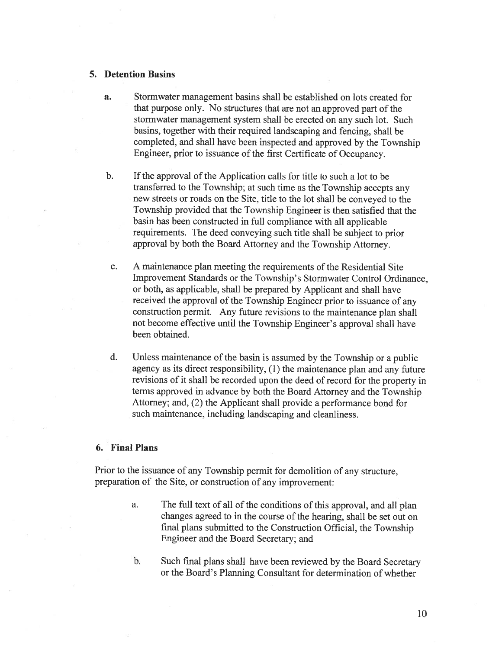### 5. Detention Basins

- a. Stormwater managemen<sup>t</sup> basins shall be established on lots created for that purpose only. No structures that are not an approve<sup>d</sup> par<sup>t</sup> of the stormwater managemen<sup>t</sup> system shall be erected on any such lot. Such basins, together with their required landscaping and fencing, shall be completed, and shall have been inspected and approve<sup>d</sup> by the Township Engineer, prior to issuance of the first Certificate of Occupancy.
- b. If the approval of the Application calls for title to such <sup>a</sup> lot to be transferred to the Township; at such time as the Township accepts any new streets or roads on the Site. title to the lot shall be conveyed to the Township provided that the Township Engineer is then satisfied that the basin has been constructed in full compliance with all applicable requirements. The deed conveying such title shall be subject to prior approva<sup>l</sup> by both the Board Attorney and the Township Attorney.
- c. A maintenance plan meeting the requirements of the Residential Site Improvement Standards or the Township's Stormwater Control Ordinance, or both, as applicable, shall be prepared by Applicant and shall have received the approva<sup>l</sup> of the Township Engineer prior to issuance of any construction permit. Any future revisions to the maintenance <sup>p</sup>lan shall not become effective until the Township Engineer's approval shall have been obtained.
- d. Unless maintenance of the basin is assumed by the Township or <sup>a</sup> public agency as its direct responsibility, (1) the maintenance <sup>p</sup>lan and any future revisions of it shall be recorded upon the deed of record for the property in terms approved in advance by both the Board Attorney and the Township Attorney; and, (2) the Applicant shall provide <sup>a</sup> performance bond for such maintenance, including landscaping and cleanliness.

# 6. Final Plans

Prior to the issuance of any Township permit for demolition of any structure. preparation of the Site, or construction of any improvement:

- a. The full text of all of the conditions of this approval, and all <sup>p</sup>lan changes agreed to in the course of the hearing, shall be set out on final <sup>p</sup>lans submitted to the Construction Official, the Township Engineer and the Board Secretary; and
- b. Such final <sup>p</sup>lans shall have been reviewed by the Board Secretary or the Board's Planning Consultant for determination of whether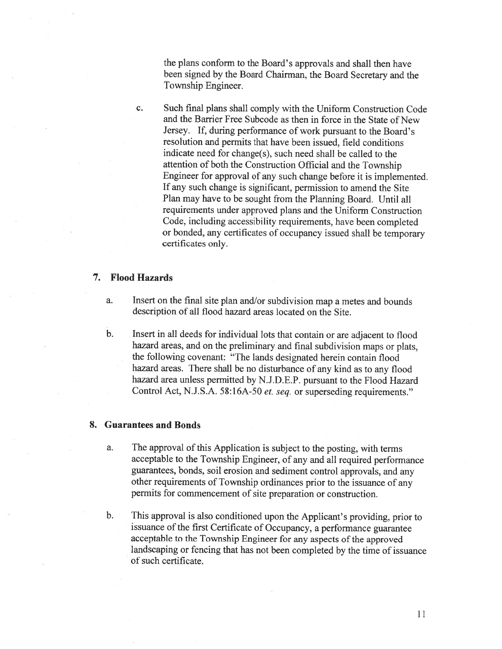the <sup>p</sup>lans conform to the Board's approvals and shall then have been signed by the Board Chairman, the Board Secretary and the Township Engineer.

c. Such final plans shall comply with the Uniform Construction Code and the Barrier Free Subcode as then in force in the State of New Jersey. If, during performance of work pursuant to the Board's resolution and permits that have been issued, field conditions indicate need for change(s), such need shall be called to the attention of both the Construction Official and the Township Engineer for approval of any such change before it is implemented. If any such change is significant, permission to amend the Site Plan may have to be sought from the Planning Board. Until all requirements under approved plans and the Uniform Construction Code, including accessibility requirements, have been completed or bonded, any certificates of occupancy issued shall be temporary certificates only.

## 7. Flood Hazards

- a. Insert on the final site <sup>p</sup>lan and/or subdivision map <sup>a</sup> metes and bounds description of all flood hazard areas located on the Site.
- b. Insert in all deeds for individual lots that contain or are adjacent to flood hazard areas, and on the preliminary and final subdivision maps or <sup>p</sup>lats, the following covenant: 'The lands designated herein contain flood hazard areas. There shall be no disturbance of any kind as to any flood hazard area unless permitted by N.J.D.E.P. pursuant to the Flood Hazard Control Act, N.J.S.A. 58:16A-50 et. seq. or superseding requirements."

#### 8. Guarantees and Bonds

- a. The approval of this Application is subject to the posting, with terms acceptable to the Township Engineer, of any and all required performance guarantees, bonds, soil erosion and sediment control approvals, and any other requirements of Township ordinances prior to the issuance of any permits for commencement of site preparation or construction.
- b. This approval is also conditioned upon the Applicant's providing, prior to issuance of the first Certificate of Occupancy, <sup>a</sup> performance guarantee acceptable to the Township Engineer for any aspects of the approved landscaping or fencing that has not been completed by the time of issuance of such certificate.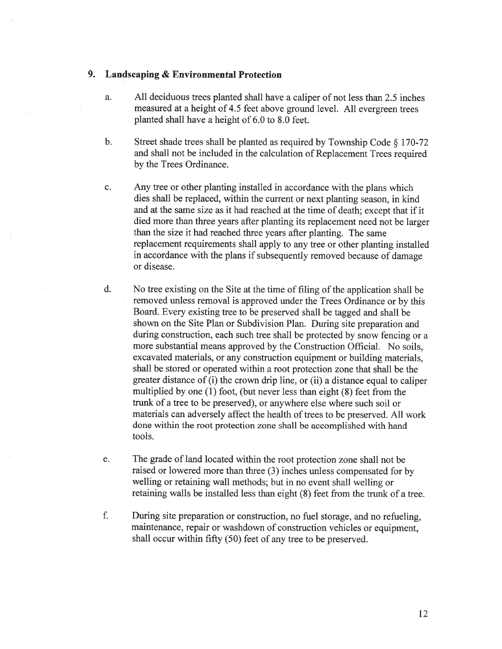## 9. Landscaping & Environmental Protection

- a. All deciduous trees planted shall have <sup>a</sup> caliper of not less than 2.5 inches measured at <sup>a</sup> height of 4.5 feet above groun<sup>d</sup> level. All evergreen trees planted shall have <sup>a</sup> height of 6.0 to 8.0 feet.
- b. Street shade trees shall be <sup>p</sup>lanted as required by Township Code § 170-72 and shall not be included in the calculation of Replacement Trees required by the Trees Ordinance.
- c. Any tree or other <sup>p</sup>lanting installed in accordance with the <sup>p</sup>lans which dies shall be replaced, within the current or next planting season, in kind and at the same size as it had reached at the time of death; excep<sup>t</sup> that if it died more than three years after <sup>p</sup>lanting its replacement need not be larger than the size it had reached three years after planting. The same replacement requirements shall apply to any tree or other <sup>p</sup>lanting installed in accordance with the <sup>p</sup>lans if subsequently removed because of damage or disease.
- d. No tree existing on the Site at the time of filing of the application shall be removed unless removal is approve<sup>d</sup> under the Trees Ordinance or by this Board. Every existing tree to be preserved shall be tagged and shall be shown on the Site Plan or Subdivision Plan. During site preparation and during construction, each such tree shall be protected by snow fencing or <sup>a</sup> more substantial means approved by the Construction Official. No soils, excavated materials, or any construction equipment or building materials, shall be stored or operated within <sup>a</sup> root protection zone that shall be the greater distance of (i) the crown drip line, or (ii) <sup>a</sup> distance equa<sup>l</sup> to caliper multiplied by one (1) foot, (but never less than eight (8) feet from the trunk of <sup>a</sup> tree to be preserved), or anywhere else where such soil or materials can adversely affect the health of trees to be preserved. All work done within the root protection zone shall be accomplished with hand tools.
- e. The grade of land located within the root protection zone shall not be raised or lowered more than three (3) inches unless compensated for by welling or retaining wall methods; but in no event shall welling or retaining walls be installed less than eight (8) feet from the trunk of <sup>a</sup> tree.
- f. During site preparation or construction, no fuel storage, and no refueling, maintenance, repair or washdown of construction vehicles or equipment, shall occur within fifty (50) feet of any tree to be preserved.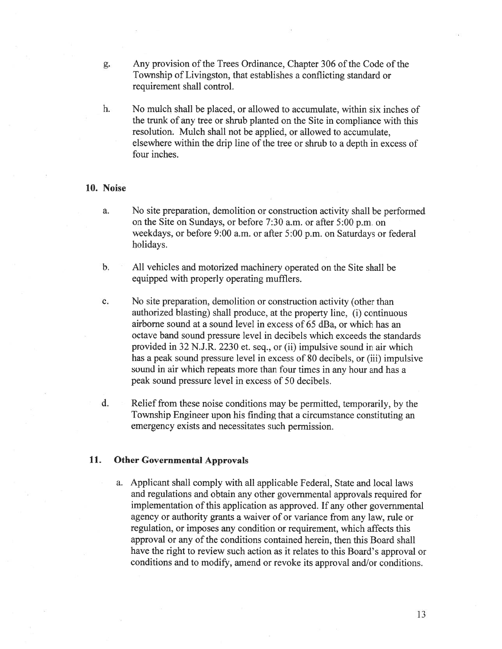- g. Any provision of the Trees Ordinance, Chapter 306 of the Code of the Township of Livingston, that establishes <sup>a</sup> conflicting standard or requirement shall control.
- h. No mulch shall be placed, or allowed to accumulate. within six inches of the trunk of any tree or shrub planted on the Site in compliance with this resolution. Mulch shall not be applied, or allowed to accumulate. elsewhere within the drip line of the tree or shrub to <sup>a</sup> depth in excess of four inches.

### 10. Noise

- a. No site preparation, demolition or construction activity shall be performed on the Site on Sundays, or before 7:30 a.m. or after 5:00 p.m. on weekdays, or before 9:00 a.m. or after 5:00 p.m. on Saturdays or federal holidays.
- b. All vehicles and motorized machinery operated on the Site shall be equipped with properly operating mufflers.
- c. No site preparation, demolition or construction activity (other than authorized blasting) shall produce. at the property line, (i) continuous airborne sound at <sup>a</sup> sound level in excess of 65 dBa, or which has an octave band sound pressure level in decibels which exceeds the standards provided in 32 N.J.R. 2230 et. seq., or (ii) impulsive sound in air which has <sup>a</sup> peak sound pressure level in excess of 80 decibels, or (iii) impulsive sound in air which repeats more than four times in any hour and has <sup>a</sup> peak sound pressure level in excess of 50 decibels.
- d. Relief from these noise conditions may be permitted, temporarily, by the Township Engineer upon his finding that <sup>a</sup> circumstance constituting an emergency exists and necessitates such permission.

## 11. Other Governmental Approvals

a. Applicant shall comply with all applicable Federal, State and local laws and regulations and obtain any other governmental approvals required for implementation of this application as approved. If any other governmental agency or authority grants <sup>a</sup> waiver of or variance from any law, rule or regulation, or imposes any condition or requirement, which affects this approval or any of the conditions contained herein, then this Board shall have the right to review such action as it relates to this Board's approval or conditions and to modify, amend or revoke its approval and/or conditions.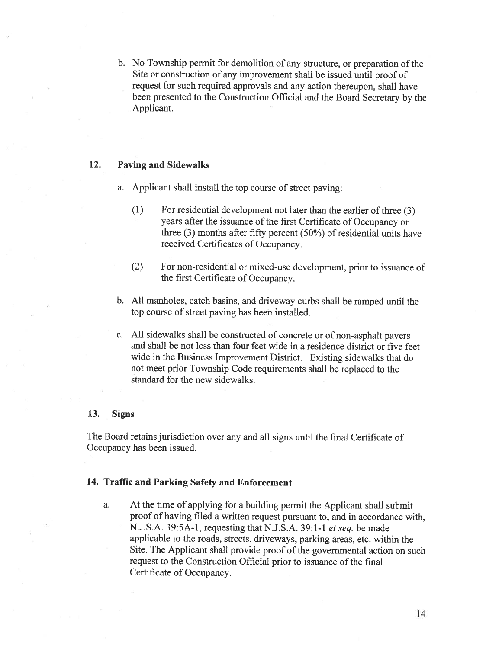b. No Township permit for demolition of any structure, or preparation of the Site or construction of any improvement shall be issued until proo<sup>f</sup> of reques<sup>t</sup> for such required approvals and any action thereupon. shall have been presented to the Construction Official and the Board Secretary by the Applicant.

## 12. Paving and Sidewalks

- a. Applicant shall install the top course of street paving:
	- (1) For residential development not later than the earlier of three (3) years after the issuance of the first Certificate of Occupancy or three  $(3)$  months after fifty percent  $(50%)$  of residential units have received Certificates of Occupancy.
	- (2) For non-residential or mixed-use development, prior to issuance of the first Certificate of Occupancy.
- b. All manholes, catch basins, and driveway curbs shall be rampe<sup>d</sup> until the top course of street paving has been installed.
- c. All sidewalks shall be constructed of concrete or of non-asphalt payers and shall be not less than four feet wide in <sup>a</sup> residence district or five feet wide in the Business Improvement District. Existing sidewalks that do not meet prior Township Code requirements shall be replaced to the standard for the new sidewalks.

### 13. Signs

The Board retains jurisdiction over any and all signs until the final Certificate of Occupancy has been issued.

## 14. Traffic and Parking Safety and Enforcement

a. At the time of applying for <sup>a</sup> building permit the Applicant shall submit proo<sup>f</sup> of having filed <sup>a</sup> written reques<sup>t</sup> pursuan<sup>t</sup> to, and in accordance with, N.J.S.A. 39:5A-l, requesting that N.J.S.A. 39:1-1 et seq. be made applicable to the roads, streets, driveways, parking areas, etc. within the Site. The Applicant shall provide proo<sup>f</sup> of the governmental action on such request to the Construction Official prior to issuance of the final Certificate of Occupancy.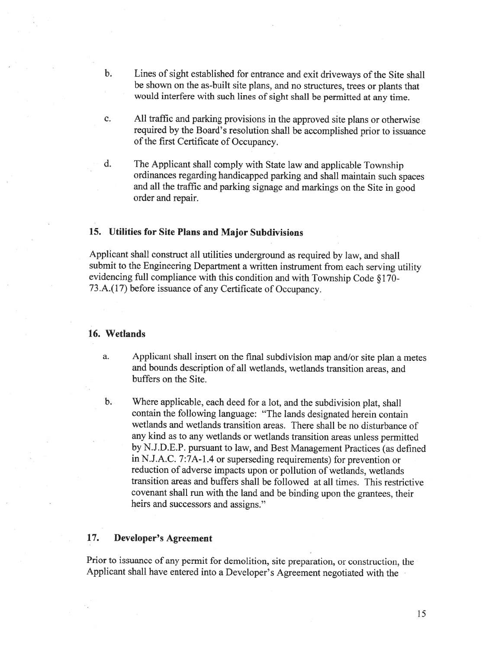- b. Lines of sight established for entrance and exit driveways of the Site shall be shown on the as-built site <sup>p</sup>lans, and no structures, trees or <sup>p</sup>lants that would interfere with such lines of sight shall be permitted at any time.
- c. All traffic and parking provisions in the approved site <sup>p</sup>lans or otherwise required by the Board's resolution shall be accomplished prior to issuance of the first Certificate of Occupancy.
- d. The Applicant shall comply with State law and applicable Township ordinances regarding handicapped parking and shall maintain such spaces and all the traffic and parking signage and markings on the Site in good order and repair.

## 15. Utilities for Site Plans and Major Subdivisions

Applicant shall construct all utilities underground as required by law, and shall submit to the Engineering Department <sup>a</sup> written instrument from each serving utility evidencing full compliance with this condition and with Township Code § 170- 73.A.(17) before issuance of any Certificate of Occupancy.

### 16. Wetlands

- a. Applicant shall insert on the final subdivision map and/or site <sup>p</sup>lan <sup>a</sup> metes and bounds description of all wetlands. wetlands transition areas, and buffers on the Site.
- b. Where applicable, each deed for <sup>a</sup> lot, and the subdivision <sup>p</sup>lat, shall contain the following language: "The lands designated herein contain wetlands and wetlands transition areas. There shall be no disturbance of any kind as to any wetlands or wetlands transition areas unless permitted by N.J.D.E.P. pursuant to law, and Best Management Practices (as defined in N.J.A.C. 7:7A-l.4 or superseding requirements) for prevention or reduction of adverse impacts upon or pollution of wetlands, wetlands transition areas and buffers shall be followed at all times. This restrictive covenant shall run with the land and be binding upon the grantees, their heirs and successors and assigns."

# 17. Developer's Agreement

Prior to issuance of any permit for demolition, site preparation, or construction, the Applicant shall have entered into <sup>a</sup> Developer's Agreement negotiated with the